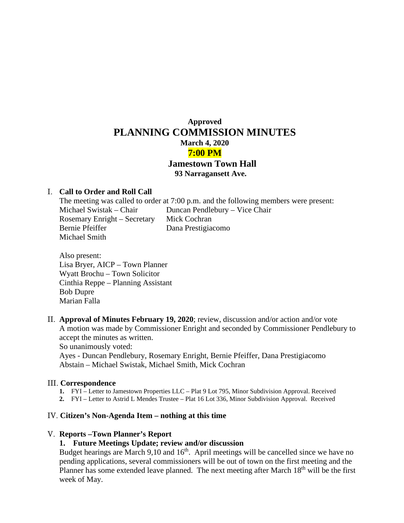# **Approved PLANNING COMMISSION MINUTES March 4, 2020 7:00 PM Jamestown Town Hall 93 Narragansett Ave.**

## I. **Call to Order and Roll Call**

The meeting was called to order at 7:00 p.m. and the following members were present: Michael Swistak – Chair Duncan Pendlebury – Vice Chair Rosemary Enright – Secretary Mick Cochran Bernie Pfeiffer Dana Prestigiacomo Michael Smith

- Also present: Lisa Bryer, AICP – Town Planner Wyatt Brochu – Town Solicitor Cinthia Reppe – Planning Assistant Bob Dupre Marian Falla
- II. **Approval of Minutes February 19, 2020**; review, discussion and/or action and/or vote A motion was made by Commissioner Enright and seconded by Commissioner Pendlebury to accept the minutes as written.

So unanimously voted:

Ayes - Duncan Pendlebury, Rosemary Enright, Bernie Pfeiffer, Dana Prestigiacomo Abstain – Michael Swistak, Michael Smith, Mick Cochran

## III. **Correspondence**

- **1.** FYI Letter to Jamestown Properties LLC Plat 9 Lot 795, Minor Subdivision Approval. Received
- **2.** FYI Letter to Astrid L Mendes Trustee Plat 16 Lot 336, Minor Subdivision Approval. Received

#### IV. **Citizen's Non-Agenda Item – nothing at this time**

#### V. **Reports –Town Planner's Report**

## **1. Future Meetings Update; review and/or discussion**

Budget hearings are March 9,10 and  $16<sup>th</sup>$ . April meetings will be cancelled since we have no pending applications, several commissioners will be out of town on the first meeting and the Planner has some extended leave planned. The next meeting after March  $18<sup>th</sup>$  will be the first week of May.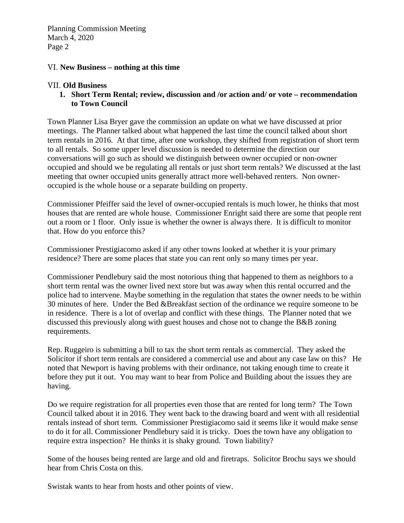Planning Commission Meeting March 4, 2020 Page 2

# VI. **New Business – nothing at this time**

# VII. **Old Business**

**1. Short Term Rental; review, discussion and /or action and/ or vote – recommendation to Town Council**

Town Planner Lisa Bryer gave the commission an update on what we have discussed at prior meetings. The Planner talked about what happened the last time the council talked about short term rentals in 2016. At that time, after one workshop, they shifted from registration of short term to all rentals. So some upper level discussion is needed to determine the direction our conversations will go such as should we distinguish between owner occupied or non-owner occupied and should we be regulating all rentals or just short term rentals? We discussed at the last meeting that owner occupied units generally attract more well-behaved renters. Non owneroccupied is the whole house or a separate building on property.

Commissioner Pfeiffer said the level of owner-occupied rentals is much lower, he thinks that most houses that are rented are whole house. Commissioner Enright said there are some that people rent out a room or 1 floor. Only issue is whether the owner is always there. It is difficult to monitor that. How do you enforce this?

Commissioner Prestigiacomo asked if any other towns looked at whether it is your primary residence? There are some places that state you can rent only so many times per year.

Commissioner Pendlebury said the most notorious thing that happened to them as neighbors to a short term rental was the owner lived next store but was away when this rental occurred and the police had to intervene. Maybe something in the regulation that states the owner needs to be within 30 minutes of here. Under the Bed &Breakfast section of the ordinance we require someone to be in residence. There is a lot of overlap and conflict with these things. The Planner noted that we discussed this previously along with guest houses and chose not to change the B&B zoning requirements.

Rep. Ruggeiro is submitting a bill to tax the short term rentals as commercial. They asked the Solicitor if short term rentals are considered a commercial use and about any case law on this? He noted that Newport is having problems with their ordinance, not taking enough time to create it before they put it out. You may want to hear from Police and Building about the issues they are having.

Do we require registration for all properties even those that are rented for long term? The Town Council talked about it in 2016. They went back to the drawing board and went with all residential rentals instead of short term. Commissioner Prestigiacomo said it seems like it would make sense to do it for all. Commissioner Pendlebury said it is tricky. Does the town have any obligation to require extra inspection? He thinks it is shaky ground. Town liability?

Some of the houses being rented are large and old and firetraps. Solicitor Brochu says we should hear from Chris Costa on this.

Swistak wants to hear from hosts and other points of view.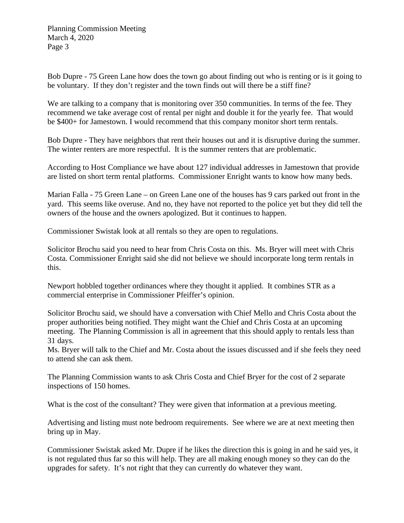Planning Commission Meeting March 4, 2020 Page 3

Bob Dupre - 75 Green Lane how does the town go about finding out who is renting or is it going to be voluntary. If they don't register and the town finds out will there be a stiff fine?

We are talking to a company that is monitoring over 350 communities. In terms of the fee. They recommend we take average cost of rental per night and double it for the yearly fee. That would be \$400+ for Jamestown. I would recommend that this company monitor short term rentals.

Bob Dupre - They have neighbors that rent their houses out and it is disruptive during the summer. The winter renters are more respectful. It is the summer renters that are problematic.

According to Host Compliance we have about 127 individual addresses in Jamestown that provide are listed on short term rental platforms. Commissioner Enright wants to know how many beds.

Marian Falla - 75 Green Lane – on Green Lane one of the houses has 9 cars parked out front in the yard. This seems like overuse. And no, they have not reported to the police yet but they did tell the owners of the house and the owners apologized. But it continues to happen.

Commissioner Swistak look at all rentals so they are open to regulations.

Solicitor Brochu said you need to hear from Chris Costa on this. Ms. Bryer will meet with Chris Costa. Commissioner Enright said she did not believe we should incorporate long term rentals in this.

Newport hobbled together ordinances where they thought it applied. It combines STR as a commercial enterprise in Commissioner Pfeiffer's opinion.

Solicitor Brochu said, we should have a conversation with Chief Mello and Chris Costa about the proper authorities being notified. They might want the Chief and Chris Costa at an upcoming meeting. The Planning Commission is all in agreement that this should apply to rentals less than 31 days.

Ms. Bryer will talk to the Chief and Mr. Costa about the issues discussed and if she feels they need to attend she can ask them.

The Planning Commission wants to ask Chris Costa and Chief Bryer for the cost of 2 separate inspections of 150 homes.

What is the cost of the consultant? They were given that information at a previous meeting.

Advertising and listing must note bedroom requirements. See where we are at next meeting then bring up in May.

Commissioner Swistak asked Mr. Dupre if he likes the direction this is going in and he said yes, it is not regulated thus far so this will help. They are all making enough money so they can do the upgrades for safety. It's not right that they can currently do whatever they want.